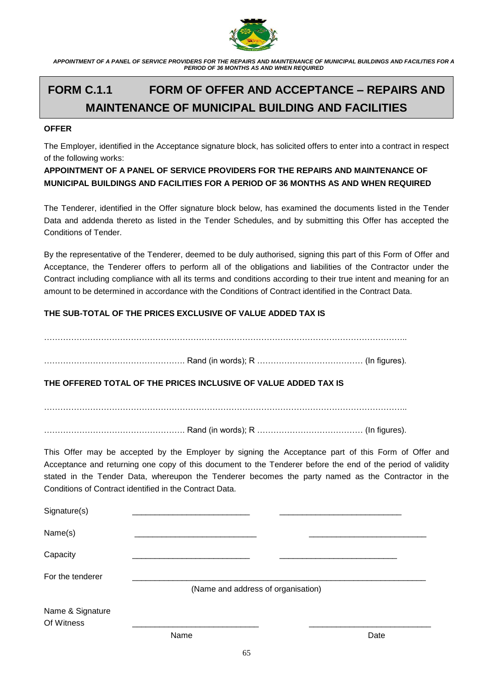

# **FORM C.1.1 FORM OF OFFER AND ACCEPTANCE – REPAIRS AND MAINTENANCE OF MUNICIPAL BUILDING AND FACILITIES**

#### **OFFER**

The Employer, identified in the Acceptance signature block, has solicited offers to enter into a contract in respect of the following works:

# **APPOINTMENT OF A PANEL OF SERVICE PROVIDERS FOR THE REPAIRS AND MAINTENANCE OF MUNICIPAL BUILDINGS AND FACILITIES FOR A PERIOD OF 36 MONTHS AS AND WHEN REQUIRED**

The Tenderer, identified in the Offer signature block below, has examined the documents listed in the Tender Data and addenda thereto as listed in the Tender Schedules, and by submitting this Offer has accepted the Conditions of Tender.

By the representative of the Tenderer, deemed to be duly authorised, signing this part of this Form of Offer and Acceptance, the Tenderer offers to perform all of the obligations and liabilities of the Contractor under the Contract including compliance with all its terms and conditions according to their true intent and meaning for an amount to be determined in accordance with the Conditions of Contract identified in the Contract Data.

## **THE SUB-TOTAL OF THE PRICES EXCLUSIVE OF VALUE ADDED TAX IS**

……………………………………………. Rand (in words); R ………………………………… (In figures). **THE OFFERED TOTAL OF THE PRICES INCLUSIVE OF VALUE ADDED TAX IS** …………………………………………………………………………………………………………………….. ……………………………………………. Rand (in words); R ………………………………… (In figures). This Offer may be accepted by the Employer by signing the Acceptance part of this Form of Offer and Acceptance and returning one copy of this document to the Tenderer before the end of the period of validity stated in the Tender Data, whereupon the Tenderer becomes the party named as the Contractor in the Conditions of Contract identified in the Contract Data. Signature(s) Name(s) \_\_\_\_\_\_\_\_\_\_\_\_\_\_\_\_\_\_\_\_\_\_\_\_\_\_\_ \_\_\_\_\_\_\_\_\_\_\_\_\_\_\_\_\_\_\_\_\_\_\_\_\_\_ Capacity \_\_\_\_\_\_\_\_\_\_\_\_\_\_\_\_\_\_\_\_\_\_\_\_\_\_ \_\_\_\_\_\_\_\_\_\_\_\_\_\_\_\_\_\_\_\_\_\_\_\_\_\_ For the tenderer (Name and address of organisation) Name & Signature Of Witness \_\_\_\_\_\_\_\_\_\_\_\_\_\_\_\_\_\_\_\_\_\_\_\_\_\_\_\_ \_\_\_\_\_\_\_\_\_\_\_\_\_\_\_\_\_\_\_\_\_\_\_\_\_\_\_

name and the Date of the Date of the Date of the Date of the Date of the Date of the Date of the Date of the D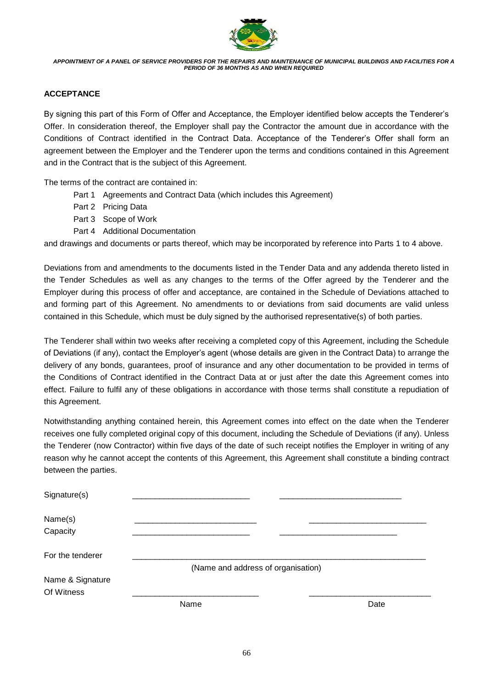

### **ACCEPTANCE**

By signing this part of this Form of Offer and Acceptance, the Employer identified below accepts the Tenderer's Offer. In consideration thereof, the Employer shall pay the Contractor the amount due in accordance with the Conditions of Contract identified in the Contract Data. Acceptance of the Tenderer's Offer shall form an agreement between the Employer and the Tenderer upon the terms and conditions contained in this Agreement and in the Contract that is the subject of this Agreement.

The terms of the contract are contained in:

- Part 1 Agreements and Contract Data (which includes this Agreement)
- Part 2 Pricing Data
- Part 3 Scope of Work
- Part 4 Additional Documentation

and drawings and documents or parts thereof, which may be incorporated by reference into Parts 1 to 4 above.

Deviations from and amendments to the documents listed in the Tender Data and any addenda thereto listed in the Tender Schedules as well as any changes to the terms of the Offer agreed by the Tenderer and the Employer during this process of offer and acceptance, are contained in the Schedule of Deviations attached to and forming part of this Agreement. No amendments to or deviations from said documents are valid unless contained in this Schedule, which must be duly signed by the authorised representative(s) of both parties.

The Tenderer shall within two weeks after receiving a completed copy of this Agreement, including the Schedule of Deviations (if any), contact the Employer's agent (whose details are given in the Contract Data) to arrange the delivery of any bonds, guarantees, proof of insurance and any other documentation to be provided in terms of the Conditions of Contract identified in the Contract Data at or just after the date this Agreement comes into effect. Failure to fulfil any of these obligations in accordance with those terms shall constitute a repudiation of this Agreement.

Notwithstanding anything contained herein, this Agreement comes into effect on the date when the Tenderer receives one fully completed original copy of this document, including the Schedule of Deviations (if any). Unless the Tenderer (now Contractor) within five days of the date of such receipt notifies the Employer in writing of any reason why he cannot accept the contents of this Agreement, this Agreement shall constitute a binding contract between the parties.

| Signature(s)                   |                                    |      |
|--------------------------------|------------------------------------|------|
| Name(s)                        |                                    |      |
| Capacity                       |                                    |      |
| For the tenderer               |                                    |      |
|                                | (Name and address of organisation) |      |
| Name & Signature<br>Of Witness |                                    |      |
|                                | Name                               | Date |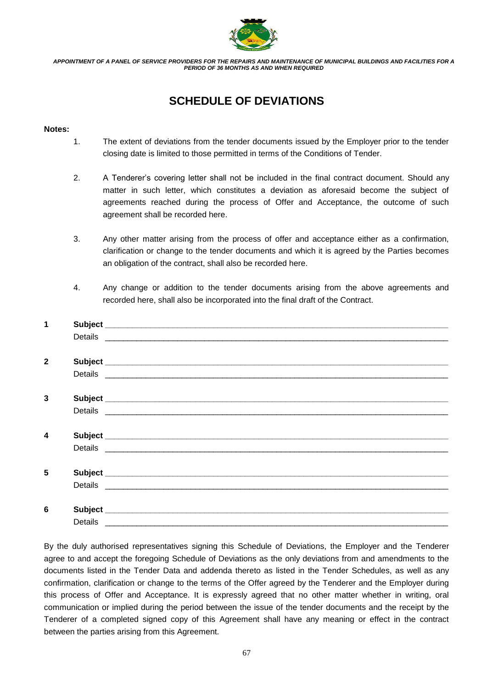

# **SCHEDULE OF DEVIATIONS**

#### **Notes:**

- 1. The extent of deviations from the tender documents issued by the Employer prior to the tender closing date is limited to those permitted in terms of the Conditions of Tender.
- 2. A Tenderer's covering letter shall not be included in the final contract document. Should any matter in such letter, which constitutes a deviation as aforesaid become the subject of agreements reached during the process of Offer and Acceptance, the outcome of such agreement shall be recorded here.
- 3. Any other matter arising from the process of offer and acceptance either as a confirmation, clarification or change to the tender documents and which it is agreed by the Parties becomes an obligation of the contract, shall also be recorded here.
- 4. Any change or addition to the tender documents arising from the above agreements and recorded here, shall also be incorporated into the final draft of the Contract.

| 1                       |         |                                                                                                                                                                                                                                |
|-------------------------|---------|--------------------------------------------------------------------------------------------------------------------------------------------------------------------------------------------------------------------------------|
|                         |         |                                                                                                                                                                                                                                |
|                         |         |                                                                                                                                                                                                                                |
| $\mathbf{2}$            |         |                                                                                                                                                                                                                                |
|                         |         |                                                                                                                                                                                                                                |
|                         |         |                                                                                                                                                                                                                                |
| 3                       |         |                                                                                                                                                                                                                                |
|                         |         | Details experience and the contract of the contract of the contract of the contract of the contract of the contract of the contract of the contract of the contract of the contract of the contract of the contract of the con |
|                         |         |                                                                                                                                                                                                                                |
| $\overline{\mathbf{4}}$ |         |                                                                                                                                                                                                                                |
|                         |         |                                                                                                                                                                                                                                |
|                         |         |                                                                                                                                                                                                                                |
| 5                       |         |                                                                                                                                                                                                                                |
|                         |         |                                                                                                                                                                                                                                |
|                         |         |                                                                                                                                                                                                                                |
| 6                       |         |                                                                                                                                                                                                                                |
|                         | Details |                                                                                                                                                                                                                                |

By the duly authorised representatives signing this Schedule of Deviations, the Employer and the Tenderer agree to and accept the foregoing Schedule of Deviations as the only deviations from and amendments to the documents listed in the Tender Data and addenda thereto as listed in the Tender Schedules, as well as any confirmation, clarification or change to the terms of the Offer agreed by the Tenderer and the Employer during this process of Offer and Acceptance. It is expressly agreed that no other matter whether in writing, oral communication or implied during the period between the issue of the tender documents and the receipt by the Tenderer of a completed signed copy of this Agreement shall have any meaning or effect in the contract between the parties arising from this Agreement.